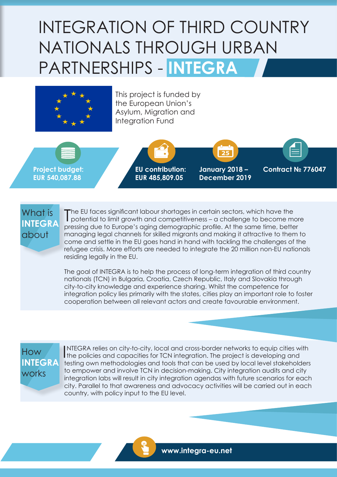# INTEGRATION OF THIRD COUNTRY NATIONALS THROUGH URBAN PARTNERSHIPS - **INTEGRA**



This project is funded by the European Union's Asylum, Migration and Integration Fund

**Project budget: EUR 540,087.88**



**January 2018 – December 2019** **Contract № 776047**

#### What is **INTEGRA** about

The EU faces significant labour shortages in certain sectors, which have the potential to limit growth and competitiveness - a challenge to become m potential to limit growth and competitiveness – a challenge to become more pressing due to Europe's aging demographic profile. At the same time, better managing legal channels for skilled migrants and making it attractive to them to come and settle in the EU goes hand in hand with tackling the challenges of the refugee crisis. More efforts are needed to integrate the 20 million non-EU nationals residing legally in the EU.

The goal of INTEGRA is to help the process of long-term integration of third country nationals (TCN) in Bulgaria, Croatia, Czech Republic, Italy and Slovakia through city-to-city knowledge and experience sharing. Whilst the competence for integration policy lies primarily with the states, cities play an important role to foster cooperation between all relevant actors and create favourable environment.

### How **INTEGRA** works

INTEGRA relies on city-to-city, local and cross-border networks to equip cities with policies and capacities for TCN integration. The project is developing and NTEGRA relies on city-to-city, local and cross-border networks to equip cities with testing own methodologies and tools that can be used by local level stakeholders to empower and involve TCN in decision-making. City integration audits and city integration labs will result in city integration agendas with future scenarios for each city. Parallel to that awareness and advocacy activities will be carried out in each country, with policy input to the EU level.